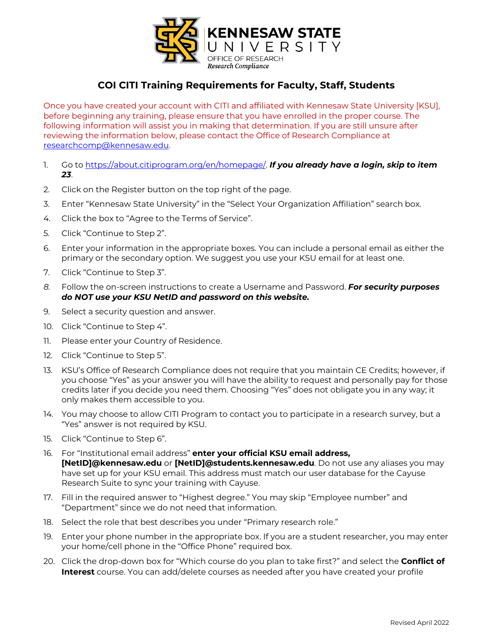

# **COI CITI Training Requirements for Faculty, Staff, Students**

Once you have created your account with CITI and affiliated with Kennesaw State University [KSU], before beginning any training, please ensure that you have enrolled in the proper course. The following information will assist you in making that determination. If you are still unsure after reviewing the information below, please contact the Office of Research Compliance at researchcomp@kennesaw.edu.

- 1. Go to https://about.citiprogram.org/en/homepage/. *If you already have a login, skip to item 23*.
- 2. Click on the Register button on the top right of the page.
- 3. Enter "Kennesaw State University" in the "Select Your Organization Affiliation" search box.
- 4. Click the box to "Agree to the Terms of Service".
- 5. Click "Continue to Step 2".
- 6. Enter your information in the appropriate boxes. You can include a personal email as either the primary or the secondary option. We suggest you use your KSU email for at least one.
- 7. Click "Continue to Step 3".
- *8.* Follow the on-screen instructions to create a Username and Password. *For security purposes do NOT use your KSU NetID and password on this website.*
- 9. Select a security question and answer.
- 10. Click "Continue to Step 4".
- 11. Please enter your Country of Residence.
- 12. Click "Continue to Step 5".
- 13. KSU's Office of Research Compliance does not require that you maintain CE Credits; however, if you choose "Yes" as your answer you will have the ability to request and personally pay for those credits later if you decide you need them. Choosing "Yes" does not obligate you in any way; it only makes them accessible to you.
- 14. You may choose to allow CITI Program to contact you to participate in a research survey, but a "Yes" answer is not required by KSU.
- 15. Click "Continue to Step 6".
- 16. For "Institutional email address" **enter your official KSU email address, [NetID]@kennesaw.edu** or **[NetID]@students.kennesaw.edu**. Do not use any aliases you may have set up for your KSU email. This address must match our user database for the Cayuse Research Suite to sync your training with Cayuse.
- 17. Fill in the required answer to "Highest degree." You may skip "Employee number" and "Department" since we do not need that information.
- 18. Select the role that best describes you under "Primary research role."
- 19. Enter your phone number in the appropriate box. If you are a student researcher, you may enter your home/cell phone in the "Office Phone" required box.
- 20. Click the drop-down box for "Which course do you plan to take first?" and select the **Conflict of Interest** course. You can add/delete courses as needed after you have created your profile